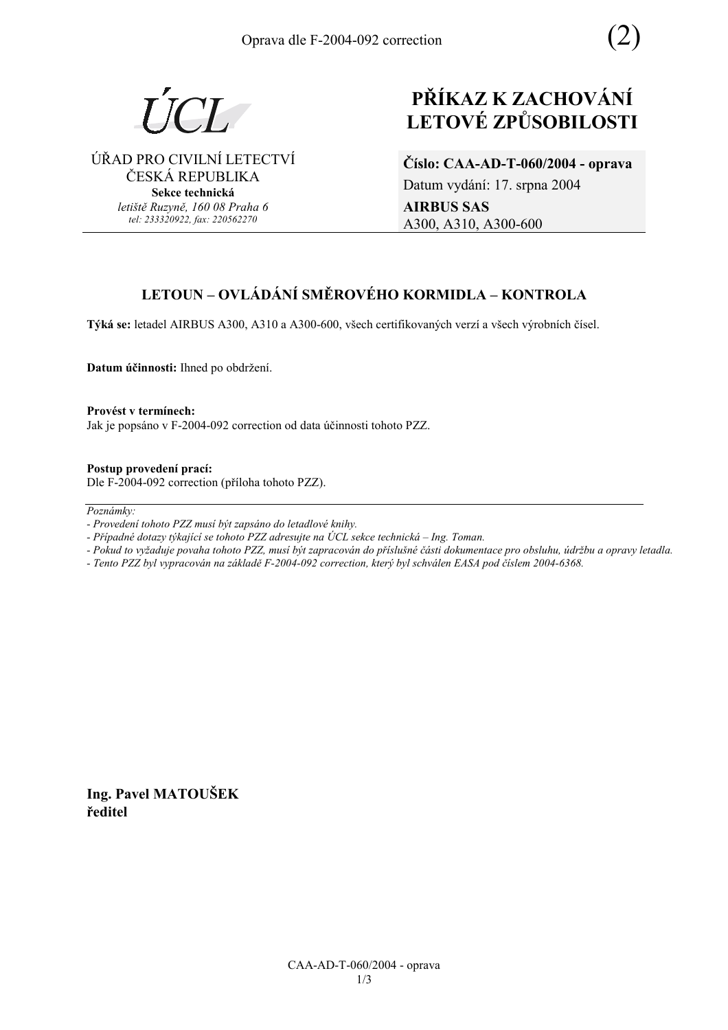

ÚŘAD PRO CIVILNÍ LETECTVÍ ČESKÁ REPUBLIKA **Sekce technická** *letiötě Ruzyně, 160 08 Praha 6 tel: 233320922, fax: 220562270*

# **PŘÍKAZ K ZACHOVÁNÍ LETOV… ZPŮSOBILOSTI**

**ČÌslo: CAA-AD-T-060/2004 - oprava**  Datum vydání: 17. srpna 2004 **AIRBUS SAS**  A300, A310, A300-600

# **LETOUN – OVLÁDÁNÍ SMĚROVÉHO KORMIDLA – KONTROLA**

Týká se: letadel AIRBUS A300, A310 a A300-600, všech certifikovaných verzí a všech výrobních čísel.

**Datum účinnosti:** Ihned po obdržení.

Provést v termínech: Jak je popsáno v F-2004-092 correction od data účinnosti tohoto PZZ.

**Postup provedenÌ pracÌ:**  Dle F-2004-092 correction (příloha tohoto PZZ).

 $Poznámkv:$ 

*- Případné dotazy týkající se tohoto PZZ adresujte na ÚCL sekce technická – Ing. Toman.* 

- *Pokud to vyûaduje povaha tohoto PZZ, musÌ b˝t zapracov·n do přÌsluönÈ č·sti dokumentace pro obsluhu, ˙drûbu a opravy letadla.*
- *Tento PZZ byl vypracov·n na z·kladě F-2004-092 correction, kter˝ byl schv·len EASA pod čÌslem 2004-6368.*

**Ing. Pavel MATOUäEK ředitel** 

*<sup>-</sup> ProvedenÌ tohoto PZZ musÌ b˝t zaps·no do letadlovÈ knihy.*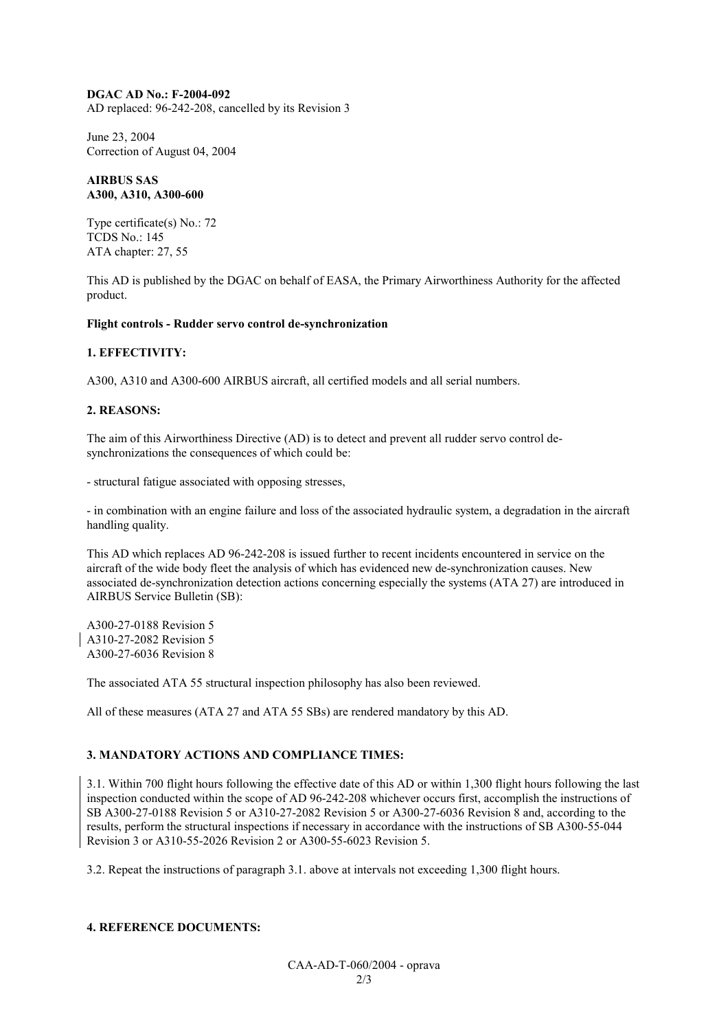#### **DGAC AD No.: F-2004-092**

AD replaced: 96-242-208, cancelled by its Revision 3

June 23, 2004 Correction of August 04, 2004

#### **AIRBUS SAS A300, A310, A300-600**

Type certificate(s) No.: 72 TCDS No.: 145 ATA chapter: 27, 55

This AD is published by the DGAC on behalf of EASA, the Primary Airworthiness Authority for the affected product.

#### **Flight controls - Rudder servo control de-synchronization**

#### **1. EFFECTIVITY:**

A300, A310 and A300-600 AIRBUS aircraft, all certified models and all serial numbers.

#### **2. REASONS:**

The aim of this Airworthiness Directive (AD) is to detect and prevent all rudder servo control desynchronizations the consequences of which could be:

- structural fatigue associated with opposing stresses,

- in combination with an engine failure and loss of the associated hydraulic system, a degradation in the aircraft handling quality.

This AD which replaces AD 96-242-208 is issued further to recent incidents encountered in service on the aircraft of the wide body fleet the analysis of which has evidenced new de-synchronization causes. New associated de-synchronization detection actions concerning especially the systems (ATA 27) are introduced in AIRBUS Service Bulletin (SB):

A300-27-0188 Revision 5 A310-27-2082 Revision 5 A300-27-6036 Revision 8

The associated ATA 55 structural inspection philosophy has also been reviewed.

All of these measures (ATA 27 and ATA 55 SBs) are rendered mandatory by this AD.

#### **3. MANDATORY ACTIONS AND COMPLIANCE TIMES:**

3.1. Within 700 flight hours following the effective date of this AD or within 1,300 flight hours following the last inspection conducted within the scope of AD 96-242-208 whichever occurs first, accomplish the instructions of SB A300-27-0188 Revision 5 or A310-27-2082 Revision 5 or A300-27-6036 Revision 8 and, according to the results, perform the structural inspections if necessary in accordance with the instructions of SB A300-55-044 Revision 3 or A310-55-2026 Revision 2 or A300-55-6023 Revision 5.

3.2. Repeat the instructions of paragraph 3.1. above at intervals not exceeding 1,300 flight hours.

#### **4. REFERENCE DOCUMENTS:**